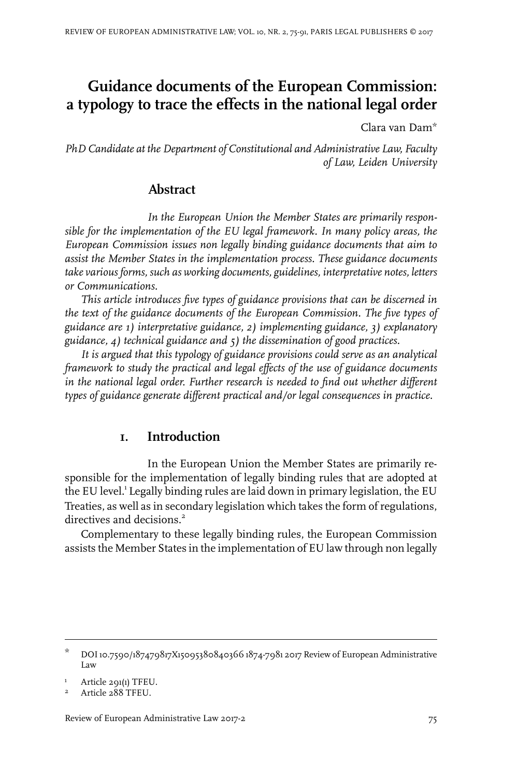# **Guidance documents of the European Commission: a typology to trace the effects in the national legal order**

Clara van Dam\*

*PhD Candidate at the Department of Constitutional and Administrative Law, Faculty of Law, Leiden University*

# **Abstract**

*In the European Union the Member States are primarily responsible for the implementation of the EU legal framework. In many policy areas, the European Commission issues non legally binding guidance documents that aim to assist the Member States in the implementation process. These guidance documents take various forms, such as working documents, guidelines, interpretative notes, letters or Communications.*

*This article introduces five types of guidance provisions that can be discerned in the text of the guidance documents of the European Commission. The five types of guidance are 1) interpretative guidance, 2) implementing guidance, 3) explanatory guidance, 4) technical guidance and 5) the dissemination of good practices.*

*It is argued that this typology of guidance provisions could serve as an analytical framework to study the practical and legal effects of the use of guidance documents in the national legal order. Further research is needed to find out whether different types of guidance generate different practical and/or legal consequences in practice.*

# **1. Introduction**

In the European Union the Member States are primarily responsible for the implementation of legally binding rules that are adopted at the EU level.<sup>1</sup> Legally binding rules are laid down in primary legislation, the EU Treaties, as well as in secondary legislation which takes the form of regulations, directives and decisions.<sup>2</sup>

Complementary to these legally binding rules, the European Commission assists the Member States in the implementation of EU law through non legally

DOI10.7590/187479817X15095380840366 1874-7981 2017 Review of European Administrative Law \*

Article 291(1) TFEU. <sup>1</sup>

Article 288 TFEU. <sup>2</sup>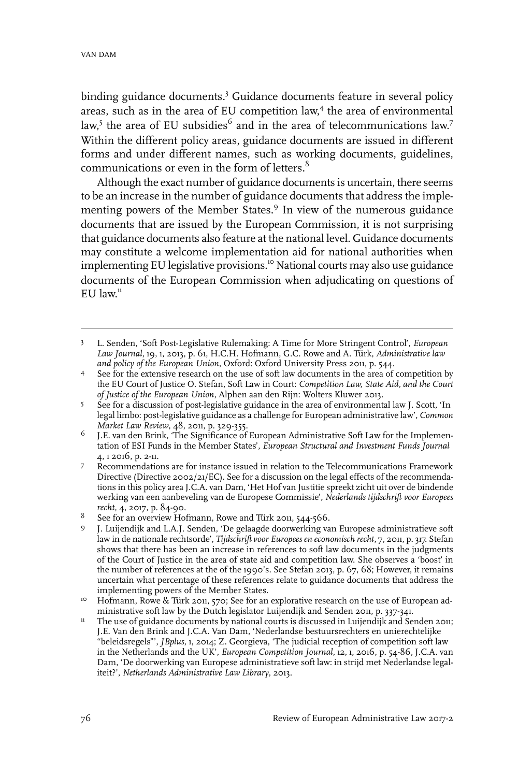binding guidance documents.<sup>3</sup> Guidance documents feature in several policy areas, such as in the area of EU competition law, 4 the area of environmental  $\text{law},^5$  the area of EU subsidies $^6$  and in the area of telecommunications  $\text{law}.^7$ Within the different policy areas, guidance documents are issued in different forms and under different names, such as working documents, guidelines, communications or even in the form of letters.<sup>8</sup>

Although the exact number of guidance documents is uncertain, there seems to be an increase in the number of guidance documents that address the implementing powers of the Member States.<sup>9</sup> In view of the numerous guidance documents that are issued by the European Commission, it is not surprising that guidance documents also feature at the national level. Guidance documents may constitute a welcome implementation aid for national authorities when implementing EU legislative provisions.<sup>10</sup> National courts may also use guidance documents of the European Commission when adjudicating on questions of EU law.<sup>11</sup>

L. Senden, 'Soft Post-Legislative Rulemaking: A Time for More Stringent Control', *European Law Journal*, 19, 1, 2013, p. 61, H.C.H. Hofmann, G.C. Rowe and A. Türk, *Administrative law and policy of the European Union*, Oxford: Oxford University Press 2011, p. 544. 3

See for the extensive research on the use of soft law documents in the area of competition by the EU Court of Justice O. Stefan, Soft Law in Court: *Competition Law, State Aid, and the Court of Justice of the European Union*, Alphen aan den Rijn: Wolters Kluwer 2013. 4

See for a discussion of post-legislative guidance in the area of environmental law J. Scott, 'In legal limbo: post-legislative guidance as a challenge for European administrative law', *Common Market Law Review*, 48, 2011, p. 329-355. 5

J.E. van den Brink, 'The Significance of European Administrative Soft Law for the Implementation of ESI Funds in the Member States', *European Structural and Investment Funds Journal* 4, 1 2016, p. 2-11. 6

Recommendations are for instance issued in relation to the Telecommunications Framework Directive (Directive 2002/21/EC). See for a discussion on the legal effects of the recommenda-7 tions in this policy area J.C.A. van Dam, 'Het Hof van Justitie spreekt zicht uit over de bindende werking van een aanbeveling van de Europese Commissie', *Nederlands tijdschrift voor Europees recht*, 4, 2017, p. 84-90.

See for an overview Hofmann, Rowe and Türk 2011, 544-566.

J. Luijendijk and L.A.J. Senden, 'De gelaagde doorwerking van Europese administratieve soft law in de nationale rechtsorde', *Tijdschrift voor Europees en economisch recht*, 7, 2011, p. 317. Stefan 9 shows that there has been an increase in references to soft law documents in the judgments of the Court of Justice in the area of state aid and competition law. She observes a 'boost' in the number of references at the of the 1990's. See Stefan 2013, p. 67, 68; However, it remains uncertain what percentage of these references relate to guidance documents that address the implementing powers of the Member States.

Hofmann, Rowe & Türk 2011, 570; See for an explorative research on the use of European administrative soft law by the Dutch legislator Luijendijk and Senden 2011, p. 337-341. 10

The use of guidance documents by national courts is discussed in Luijendijk and Senden 2011; J.E. Van den Brink and J.C.A. Van Dam, 'Nederlandse bestuursrechters en unierechtelijke 11 "beleidsregels"', *JBplus*, 1, 2014; Z. Georgieva, 'The judicial reception of competition soft law in the Netherlands and the UK', *European Competition Journal*, 12, 1, 2016, p. 54-86, J.C.A. van Dam, 'De doorwerking van Europese administratieve soft law: in strijd met Nederlandse legaliteit?', *Netherlands Administrative Law Library*, 2013.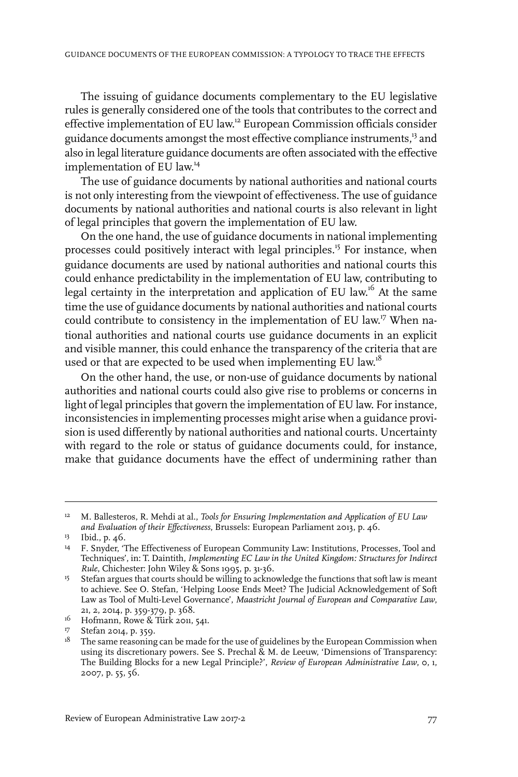The issuing of guidance documents complementary to the EU legislative rules is generally considered one of the tools that contributes to the correct and effective implementation of EU law. <sup>12</sup> European Commission officials consider guidance documents amongst the most effective compliance instruments,<sup>13</sup> and also in legal literature guidance documents are often associated with the effective implementation of EU law. 14

The use of guidance documents by national authorities and national courts is not only interesting from the viewpoint of effectiveness. The use of guidance documents by national authorities and national courts is also relevant in light of legal principles that govern the implementation of EU law.

On the one hand, the use of guidance documents in national implementing processes could positively interact with legal principles.<sup>15</sup> For instance, when guidance documents are used by national authorities and national courts this could enhance predictability in the implementation of EU law, contributing to legal certainty in the interpretation and application of EU law.'<sup>6</sup> At the same time the use of guidance documents by national authorities and national courts could contribute to consistency in the implementation of EU law. <sup>17</sup> When national authorities and national courts use guidance documents in an explicit and visible manner, this could enhance the transparency of the criteria that are used or that are expected to be used when implementing EU law.<sup>18</sup>

On the other hand, the use, or non-use of guidance documents by national authorities and national courts could also give rise to problems or concerns in light of legal principles that govern the implementation of EU law. For instance, inconsistencies in implementing processes might arise when a guidance provision is used differently by national authorities and national courts. Uncertainty with regard to the role or status of guidance documents could, for instance, make that guidance documents have the effect of undermining rather than

M. Ballesteros, R. Mehdi at al., *Tools for Ensuring Implementation and Application of EU Law and Evaluation of their Effectiveness*, Brussels: European Parliament 2013, p. 46. 12

<sup>&</sup>lt;sup>13</sup> Ibid., p. 46.

<sup>&</sup>lt;sup>14</sup> F. Snyder, 'The Effectiveness of European Community Law: Institutions, Processes, Tool and Techniques', in: T. Daintith, *Implementing EC Law in the United Kingdom: Structures for Indirect Rule*, Chichester: John Wiley & Sons 1995, p. 31-36.

<sup>&</sup>lt;sup>15</sup> Stefan argues that courts should be willing to acknowledge the functions that soft law is meant to achieve. See O. Stefan, 'Helping Loose Ends Meet? The Judicial Acknowledgement of Soft Law as Tool of Multi-Level Governance', *Maastricht Journal of European and Comparative Law*, 21, 2, 2014, p. 359-379, p. 368.

 $^{16}$  Hofmann, Rowe & Türk 2011, 541.

<sup>17</sup> Stefan 2014, p. 359.

 $^{18}$  The same reasoning can be made for the use of guidelines by the European Commission when using its discretionary powers. See S. Prechal & M. de Leeuw, 'Dimensions of Transparency: The Building Blocks for a new Legal Principle?', *Review of European Administrative Law*, 0, 1, 2007, p. 55, 56.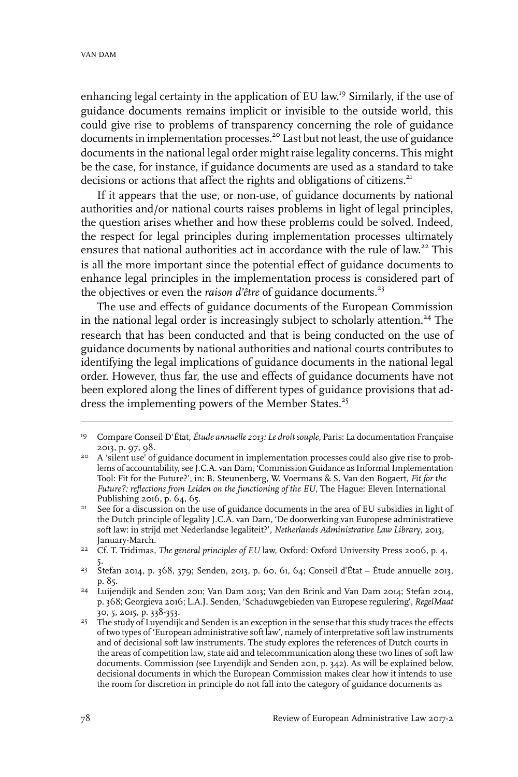enhancing legal certainty in the application of EU law. <sup>19</sup> Similarly, if the use of guidance documents remains implicit or invisible to the outside world, this could give rise to problems of transparency concerning the role of guidance documents in implementation processes.<sup>20</sup> Last but not least, the use of guidance documents in the national legal order might raise legality concerns. This might be the case, for instance, if guidance documents are used as a standard to take decisions or actions that affect the rights and obligations of citizens.<sup>21</sup>

If it appears that the use, or non-use, of guidance documents by national authorities and/or national courts raises problems in light of legal principles, the question arises whether and how these problems could be solved. Indeed, the respect for legal principles during implementation processes ultimately ensures that national authorities act in accordance with the rule of law.<sup>22</sup> This is all the more important since the potential effect of guidance documents to enhance legal principles in the implementation process is considered part of the objectives or even the *raison d'être* of guidance documents.<sup>23</sup>

The use and effects of guidance documents of the European Commission in the national legal order is increasingly subject to scholarly attention.<sup>24</sup> The research that has been conducted and that is being conducted on the use of guidance documents by national authorities and national courts contributes to identifying the legal implications of guidance documents in the national legal order. However, thus far, the use and effects of guidance documents have not been explored along the lines of different types of guidance provisions that address the implementing powers of the Member States.<sup>25</sup>

Compare Conseil D'État, *Étude annuelle 2013: Le droit souple*, Paris: La documentation Française 19 2013, p. 97, 98.

<sup>&</sup>lt;sup>20</sup> A 'silent use' of guidance document in implementation processes could also give rise to problems of accountability, see J.C.A. van Dam, 'Commission Guidance as Informal Implementation Tool: Fit for the Future?', in: B. Steunenberg, W. Voermans & S. Van den Bogaert, *Fit for the Future?: reflections from Leiden on the functioning of the EU*, The Hague: Eleven International Publishing 2016, p. 64, 65.

See for a discussion on the use of guidance documents in the area of EU subsidies in light of the Dutch principle of legality J.C.A. van Dam, 'De doorwerking van Europese administratieve 21 soft law: in strijd met Nederlandse legaliteit?', *Netherlands Administrative Law Library*, 2013, January-March.

Cf. T. Tridimas, *The general principles of EU* law, Oxford: Oxford University Press 2006, p. 4, 22 5.

<sup>&</sup>lt;sup>23</sup> Stefan 2014, p. 368, 379; Senden, 2013, p. 60, 61, 64; Conseil d'État – Étude annuelle 2013, p. 85.

<sup>&</sup>lt;sup>24</sup> Luijendijk and Senden 2011; Van Dam 2013; Van den Brink and Van Dam 2014; Stefan 2014, p. 368; Georgieva 2016; L.A.J. Senden, 'Schaduwgebieden van Europese regulering', *RegelMaat* 30, 5, 2015, p. 338-353.

<sup>&</sup>lt;sup>25</sup> The study of Luyendijk and Senden is an exception in the sense that this study traces the effects of two types of 'European administrative soft law', namely of interpretative soft law instruments and of decisional soft law instruments. The study explores the references of Dutch courts in the areas of competition law, state aid and telecommunication along these two lines of soft law documents. Commission (see Luyendijk and Senden 2011, p. 342). As will be explained below, decisional documents in which the European Commission makes clear how it intends to use the room for discretion in principle do not fall into the category of guidance documents as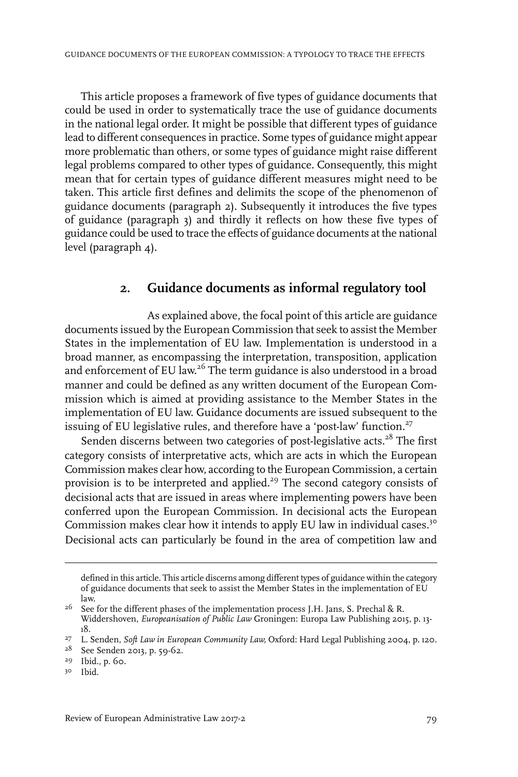This article proposes a framework of five types of guidance documents that could be used in order to systematically trace the use of guidance documents in the national legal order. It might be possible that different types of guidance lead to different consequences in practice. Some types of guidance might appear more problematic than others, or some types of guidance might raise different legal problems compared to other types of guidance. Consequently, this might mean that for certain types of guidance different measures might need to be taken. This article first defines and delimits the scope of the phenomenon of guidance documents (paragraph 2). Subsequently it introduces the five types of guidance (paragraph 3) and thirdly it reflects on how these five types of guidance could be used to trace the effects of guidance documents at the national level (paragraph 4).

# **2. Guidance documents as informal regulatory tool**

As explained above, the focal point of this article are guidance documents issued by the European Commission that seek to assist the Member States in the implementation of EU law. Implementation is understood in a broad manner, as encompassing the interpretation, transposition, application and enforcement of EU law.<sup>26</sup> The term guidance is also understood in a broad manner and could be defined as any written document of the European Commission which is aimed at providing assistance to the Member States in the implementation of EU law. Guidance documents are issued subsequent to the issuing of EU legislative rules, and therefore have a 'post-law' function.<sup>27</sup>

Senden discerns between two categories of post-legislative acts.<sup>28</sup> The first category consists of interpretative acts, which are acts in which the European Commission makes clear how, according to the European Commission, a certain provision is to be interpreted and applied.<sup>29</sup> The second category consists of decisional acts that are issued in areas where implementing powers have been conferred upon the European Commission. In decisional acts the European Commission makes clear how it intends to apply EU law in individual cases.<sup>30</sup> Decisional acts can particularly be found in the area of competition law and

Ibid*.* 30

defined in this article. This article discerns among different types of guidance within the category of guidance documents that seek to assist the Member States in the implementation of EU law.

 $^{26}$  See for the different phases of the implementation process J.H. Jans, S. Prechal & R. Widdershoven, *Europeanisation of Public Law* Groningen: Europa Law Publishing 2015, p. 13- 18.

L. Senden, *Soft Law in European Community Law,* Oxford: Hard Legal Publishing 2004, p. 120. <sup>27</sup>

<sup>&</sup>lt;sup>28</sup> See Senden 2013, p. 59-62.

<sup>&</sup>lt;sup>29</sup> Ibid., p. 60.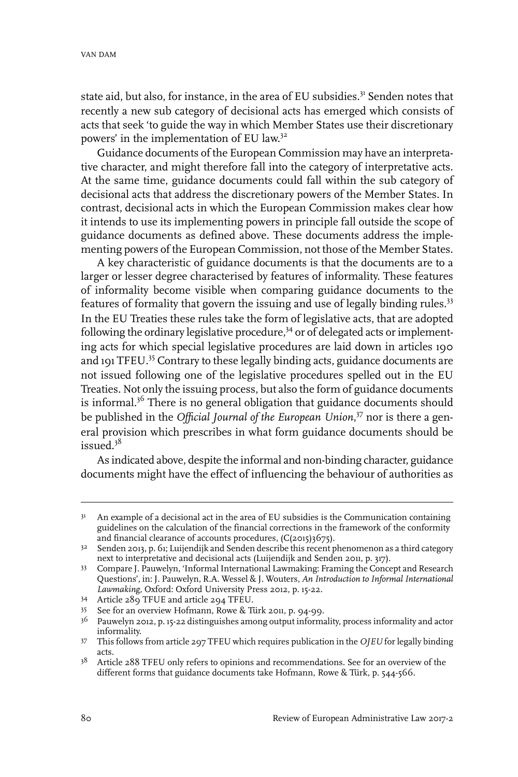state aid, but also, for instance, in the area of EU subsidies.<sup>31</sup> Senden notes that recently a new sub category of decisional acts has emerged which consists of acts that seek 'to guide the way in which Member States use their discretionary powers' in the implementation of EU law.<sup>32</sup>

Guidance documents of the European Commission may have an interpretative character, and might therefore fall into the category of interpretative acts. At the same time, guidance documents could fall within the sub category of decisional acts that address the discretionary powers of the Member States. In contrast, decisional acts in which the European Commission makes clear how it intends to use its implementing powers in principle fall outside the scope of guidance documents as defined above. These documents address the implementing powers of the European Commission, not those of the Member States.

A key characteristic of guidance documents is that the documents are to a larger or lesser degree characterised by features of informality. These features of informality become visible when comparing guidance documents to the features of formality that govern the issuing and use of legally binding rules.<sup>33</sup> In the EU Treaties these rules take the form of legislative acts, that are adopted following the ordinary legislative procedure, $34$  or of delegated acts or implementing acts for which special legislative procedures are laid down in articles 190 and 191 TFEU.<sup>35</sup> Contrary to these legally binding acts, guidance documents are not issued following one of the legislative procedures spelled out in the EU Treaties. Not only the issuing process, but also the form of guidance documents is informal.<sup>36</sup> There is no general obligation that guidance documents should be published in the *Official Journal of the European Union*, <sup>37</sup> nor is there a general provision which prescribes in what form guidance documents should be issued.<sup>38</sup>

As indicated above, despite the informal and non-binding character, guidance documents might have the effect of influencing the behaviour of authorities as

<sup>&</sup>lt;sup>31</sup> An example of a decisional act in the area of EU subsidies is the Communication containing guidelines on the calculation of the financial corrections in the framework of the conformity and financial clearance of accounts procedures,  $(C(2015)3675)$ .

 $3^2$  Senden 2013, p. 61; Luijendijk and Senden describe this recent phenomenon as a third category next to interpretative and decisional acts (Luijendijk and Senden 2011, p. 317).

<sup>33</sup> Compare J. Pauwelyn, 'Informal International Lawmaking: Framing the Concept and Research Questions', in: J. Pauwelyn, R.A. Wessel & J. Wouters, *An Introduction to Informal International Lawmaking,* Oxford: Oxford University Press 2012, p. 15-22.

<sup>34</sup> Article 289 TFUE and article 294 TFEU.

See for an overview Hofmann, Rowe & Türk 2011, p. 94-99. <sup>35</sup>

 $3<sup>6</sup>$  Pauwelyn 2012, p. 15-22 distinguishes among output informality, process informality and actor informality.

This follows from article 297 TFEU which requires publication in the *OJEU* for legally binding 37 acts.

<sup>&</sup>lt;sup>38</sup> Article 288 TFEU only refers to opinions and recommendations. See for an overview of the different forms that guidance documents take Hofmann, Rowe & Türk, p. 544-566.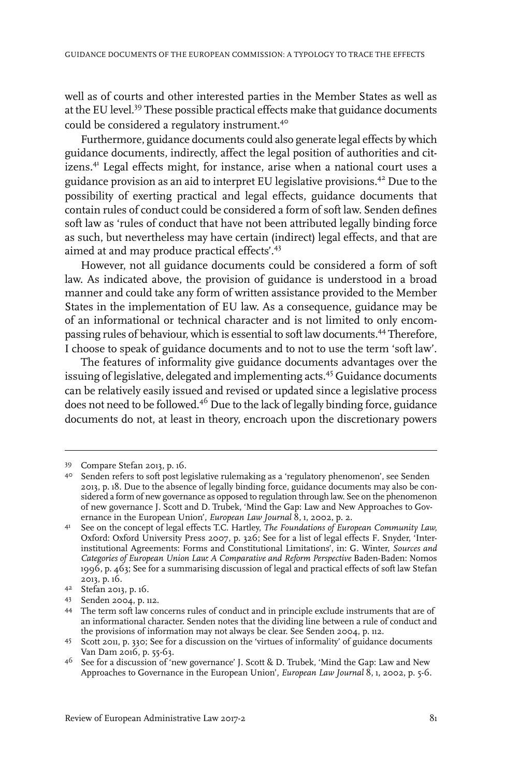well as of courts and other interested parties in the Member States as well as at the EU level.<sup>39</sup> These possible practical effects make that guidance documents could be considered a regulatory instrument.<sup>40</sup>

Furthermore, guidance documents could also generate legal effects by which guidance documents, indirectly, affect the legal position of authorities and citizens.<sup>41</sup> Legal effects might, for instance, arise when a national court uses a guidance provision as an aid to interpret EU legislative provisions.<sup>42</sup> Due to the possibility of exerting practical and legal effects, guidance documents that contain rules of conduct could be considered a form of soft law. Senden defines soft law as 'rules of conduct that have not been attributed legally binding force as such, but nevertheless may have certain (indirect) legal effects, and that are aimed at and may produce practical effects'.<sup>43</sup>

However, not all guidance documents could be considered a form of soft law. As indicated above, the provision of guidance is understood in a broad manner and could take any form of written assistance provided to the Member States in the implementation of EU law. As a consequence, guidance may be of an informational or technical character and is not limited to only encompassing rules of behaviour, which is essential to soft law documents.<sup>44</sup> Therefore, I choose to speak of guidance documents and to not to use the term 'soft law'.

The features of informality give guidance documents advantages over the issuing of legislative, delegated and implementing acts.<sup>45</sup> Guidance documents can be relatively easily issued and revised or updated since a legislative process does not need to be followed.<sup>46</sup> Due to the lack of legally binding force, guidance documents do not, at least in theory, encroach upon the discretionary powers

Compare Stefan 2013, p. 16. <sup>39</sup>

<sup>&</sup>lt;sup>40</sup> Senden refers to soft post legislative rulemaking as a 'regulatory phenomenon', see Senden 2013, p. 18. Due to the absence of legally binding force, guidance documents may also be considered a form of new governance as opposed to regulation through law. See on the phenomenon of new governance J. Scott and D. Trubek, 'Mind the Gap: Law and New Approaches to Governance in the European Union', *European Law Journal* 8, 1, 2002, p. 2.

See on the concept of legal effects T.C. Hartley, *The Foundations of European Community Law,* Oxford: Oxford University Press 2007, p. 326; See for a list of legal effects F. Snyder, 'Inter-41 institutional Agreements: Forms and Constitutional Limitations', in: G. Winter, *Sources and Categories of European Union Law: A Comparative and Reform Perspective* Baden-Baden: Nomos 1996, p. 463; See for a summarising discussion of legal and practical effects of soft law Stefan 2013, p. 16.

Stefan 2013, p. 16. <sup>42</sup>

<sup>43</sup> Senden 2004, p. 112.

The term soft law concerns rules of conduct and in principle exclude instruments that are of 44 an informational character. Senden notes that the dividing line between a rule of conduct and the provisions of information may not always be clear. See Senden 2004, p. 112.

<sup>45</sup> Scott 2011, p. 330; See for a discussion on the 'virtues of informality' of guidance documents Van Dam 2016, p. 55-63.

 $^{46}$  See for a discussion of 'new governance' J. Scott & D. Trubek, 'Mind the Gap: Law and New Approaches to Governance in the European Union', *European Law Journal* 8, 1, 2002, p. 5-6.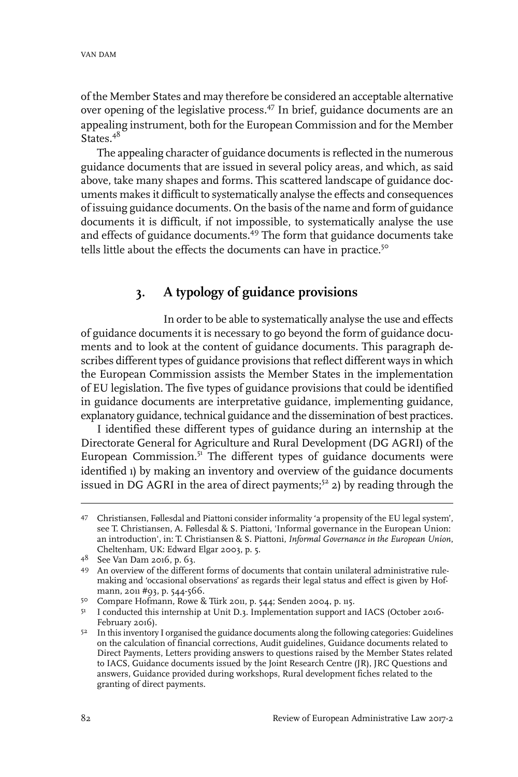of the Member States and may therefore be considered an acceptable alternative over opening of the legislative process.<sup>47</sup> In brief, guidance documents are an appealing instrument, both for the European Commission and for the Member  $S$ tates.<sup>48</sup>

The appealing character of guidance documents is reflected in the numerous guidance documents that are issued in several policy areas, and which, as said above, take many shapes and forms. This scattered landscape of guidance documents makes it difficult to systematically analyse the effects and consequences of issuing guidance documents. On the basis of the name and form of guidance documents it is difficult, if not impossible, to systematically analyse the use and effects of guidance documents.<sup>49</sup> The form that guidance documents take tells little about the effects the documents can have in practice.<sup>50</sup>

# **3. A typology of guidance provisions**

In order to be able to systematically analyse the use and effects of guidance documents it is necessary to go beyond the form of guidance documents and to look at the content of guidance documents. This paragraph describes different types of guidance provisions that reflect different ways in which the European Commission assists the Member States in the implementation of EU legislation. The five types of guidance provisions that could be identified in guidance documents are interpretative guidance, implementing guidance, explanatory guidance, technical guidance and the dissemination of best practices.

I identified these different types of guidance during an internship at the Directorate General for Agriculture and Rural Development (DG AGRI) of the European Commission. $5^1$  The different types of guidance documents were identified 1) by making an inventory and overview of the guidance documents issued in DG AGRI in the area of direct payments;<sup>52</sup> 2) by reading through the

Christiansen, Føllesdal and Piattoni consider informality 'a propensity of the EU legal system', 47 see T. Christiansen, A. Føllesdal & S. Piattoni, 'Informal governance in the European Union: an introduction', in: T. Christiansen & S. Piattoni, *Informal Governance in the European Union*, Cheltenham, UK: Edward Elgar 2003, p. 5.

<sup>48</sup> See Van Dam 2016, p. 63.

An overview of the different forms of documents that contain unilateral administrative rule-49 making and 'occasional observations' as regards their legal status and effect is given by Hofmann, 2011 #93, p. 544-566.

<sup>&</sup>lt;sup>50</sup> Compare Hofmann, Rowe & Türk 2011, p. 544; Senden 2004, p. 115.

<sup>&</sup>lt;sup>51</sup> I conducted this internship at Unit D.3. Implementation support and IACS (October 2016-February 2016).

<sup>52</sup> In this inventory I organised the guidance documents along the following categories: Guidelines on the calculation of financial corrections, Audit guidelines, Guidance documents related to Direct Payments, Letters providing answers to questions raised by the Member States related to IACS, Guidance documents issued by the Joint Research Centre (JR), JRC Questions and answers, Guidance provided during workshops, Rural development fiches related to the granting of direct payments.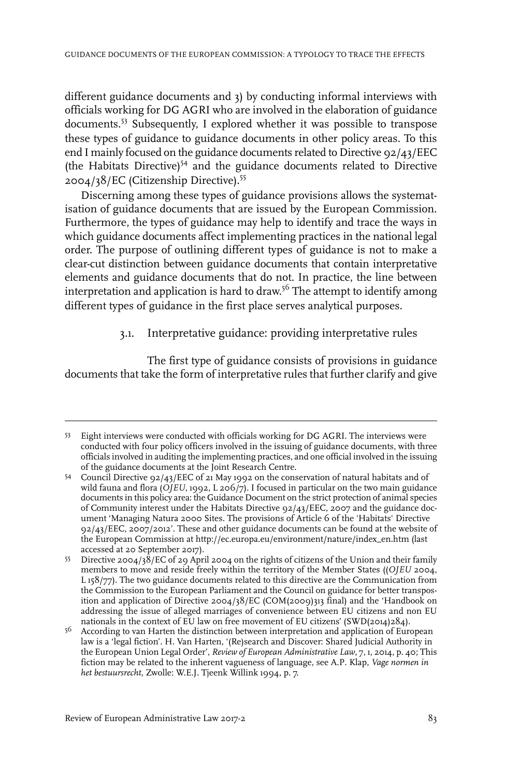different guidance documents and 3) by conducting informal interviews with officials working for DG AGRI who are involved in the elaboration of guidance documents.<sup>53</sup> Subsequently, I explored whether it was possible to transpose these types of guidance to guidance documents in other policy areas. To this end I mainly focused on the guidance documents related to Directive 92/43/EEC (the Habitats Directive)<sup>54</sup> and the guidance documents related to Directive 2004/38/EC (Citizenship Directive).<sup>55</sup>

Discerning among these types of guidance provisions allows the systematisation of guidance documents that are issued by the European Commission. Furthermore, the types of guidance may help to identify and trace the ways in which guidance documents affect implementing practices in the national legal order. The purpose of outlining different types of guidance is not to make a clear-cut distinction between guidance documents that contain interpretative elements and guidance documents that do not. In practice, the line between interpretation and application is hard to draw.<sup>56</sup> The attempt to identify among different types of guidance in the first place serves analytical purposes.

#### 3.1. Interpretative guidance: providing interpretative rules

The first type of guidance consists of provisions in guidance documents that take the form of interpretative rules that further clarify and give

Eight interviews were conducted with officials working for DG AGRI. The interviews were 53 conducted with four policy officers involved in the issuing of guidance documents, with three officials involved in auditing the implementing practices, and one official involved in the issuing of the guidance documents at the Joint Research Centre.

Council Directive 92/43/EEC of 21 May 1992 on the conservation of natural habitats and of 54 wild fauna and flora (*OJEU*, 1992, L 206/7). I focused in particular on the two main guidance documents in this policy area: the Guidance Document on the strict protection of animal species of Community interest under the Habitats Directive 92/43/EEC, 2007 and the guidance document 'Managing Natura 2000 Sites. The provisions of Article 6 of the 'Habitats' Directive 92/43/EEC, 2007/2012'. These and other guidance documents can be found at the website of the European Commission at http://ec.europa.eu/environment/nature/index\_en.htm (last accessed at 20 September 2017).

Directive 2004/38/EC of 29 April 2004 on the rights of citizens of the Union and their family members to move and reside freely within the territory of the Member States ((*OJEU* 2004, 55 L 158/77). The two guidance documents related to this directive are the Communication from the Commission to the European Parliament and the Council on guidance for better transposition and application of Directive  $2004/38/EC$  (COM(2009)313 final) and the 'Handbook on addressing the issue of alleged marriages of convenience between EU citizens and non EU nationals in the context of EU law on free movement of EU citizens' (SWD(2014)284).

According to van Harten the distinction between interpretation and application of European law is a 'legal fiction'. H. Van Harten, '(Re)search and Discover: Shared Judicial Authority in 56 the European Union Legal Order', *Review of European Administrative Law*, 7, 1, 2014, p. 40; This fiction may be related to the inherent vagueness of language, see A.P. Klap, *Vage normen in het bestuursrecht*, Zwolle: W.E.J. Tjeenk Willink 1994, p. 7.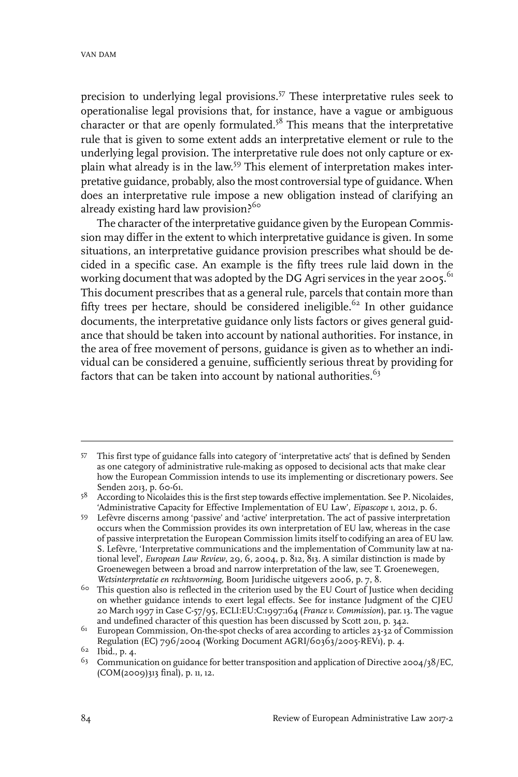precision to underlying legal provisions.<sup>57</sup> These interpretative rules seek to operationalise legal provisions that, for instance, have a vague or ambiguous character or that are openly formulated.<sup>58</sup> This means that the interpretative rule that is given to some extent adds an interpretative element or rule to the underlying legal provision. The interpretative rule does not only capture or explain what already is in the law. <sup>59</sup> This element of interpretation makes interpretative guidance, probably, also the most controversial type of guidance. When does an interpretative rule impose a new obligation instead of clarifying an already existing hard law provision.<sup>56</sup>

The character of the interpretative guidance given by the European Commission may differ in the extent to which interpretative guidance is given. In some situations, an interpretative guidance provision prescribes what should be decided in a specific case. An example is the fifty trees rule laid down in the working document that was adopted by the DG Agri services in the year 2005.<sup>61</sup> This document prescribes that as a general rule, parcels that contain more than fifty trees per hectare, should be considered ineligible.<sup>62</sup> In other guidance documents, the interpretative guidance only lists factors or gives general guidance that should be taken into account by national authorities. For instance, in the area of free movement of persons, guidance is given as to whether an individual can be considered a genuine, sufficiently serious threat by providing for factors that can be taken into account by national authorities. $63$ 

This first type of guidance falls into category of 'interpretative acts' that is defined by Senden 57 as one category of administrative rule-making as opposed to decisional acts that make clear how the European Commission intends to use its implementing or discretionary powers. See Senden 2013, p. 60-61.

<sup>&</sup>lt;sup>58</sup> According to Nicolaides this is the first step towards effective implementation. See P. Nicolaides, 'Administrative Capacity for Effective Implementation of EU Law', *Eipascope* 1, 2012, p. 6.

Lefèvre discerns among 'passive' and 'active' interpretation. The act of passive interpretation 59 occurs when the Commission provides its own interpretation of EU law, whereas in the case of passive interpretation the European Commission limits itself to codifying an area of EU law. S. Lefèvre, 'Interpretative communications and the implementation of Community law at national level', *European Law Review*, 29, 6, 2004, p. 812, 813. A similar distinction is made by Groenewegen between a broad and narrow interpretation of the law, see T. Groenewegen, *Wetsinterpretatie en rechtsvorming*, Boom Juridische uitgevers 2006, p. 7, 8.

 $6\degree$  This question also is reflected in the criterion used by the EU Court of Justice when deciding on whether guidance intends to exert legal effects. See for instance Judgment of the CJEU 20 March 1997 in Case C-57/95, ECLI:EU:C:1997:164 (*France v. Commission*), par. 13. The vague and undefined character of this question has been discussed by Scott 2011, p. 342.

 $61$  European Commission, On-the-spot checks of area according to articles 23-32 of Commission Regulation (EC) 796/2004 (Working Document AGRI/60363/2005-REV1), p. 4.

<sup>&</sup>lt;sup>62</sup> Ibid., p. 4.

<sup>&</sup>lt;sup>63</sup> Communication on guidance for better transposition and application of Directive 2004/38/EC, (COM(2009)313 final), p. 11, 12.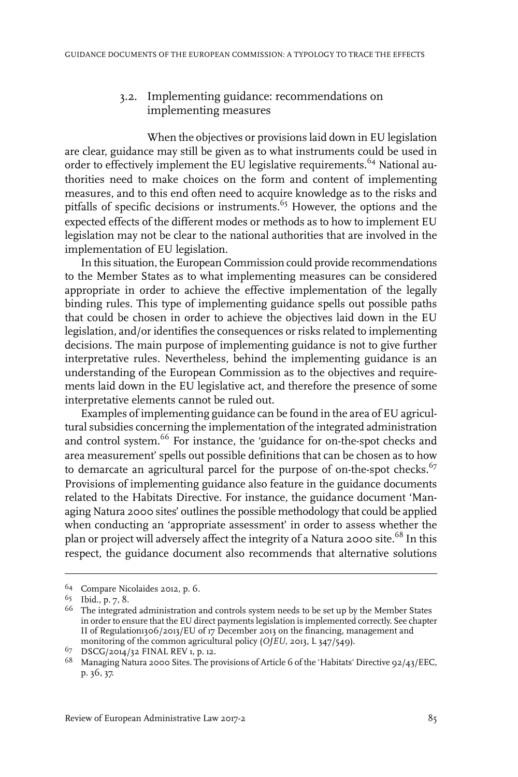#### 3.2. Implementing guidance: recommendations on implementing measures

When the objectives or provisions laid down in EU legislation are clear, guidance may still be given as to what instruments could be used in order to effectively implement the EU legislative requirements.<sup>64</sup> National authorities need to make choices on the form and content of implementing measures, and to this end often need to acquire knowledge as to the risks and pitfalls of specific decisions or instruments.<sup>65</sup> However, the options and the expected effects of the different modes or methods as to how to implement EU legislation may not be clear to the national authorities that are involved in the implementation of EU legislation.

In this situation, the European Commission could provide recommendations to the Member States as to what implementing measures can be considered appropriate in order to achieve the effective implementation of the legally binding rules. This type of implementing guidance spells out possible paths that could be chosen in order to achieve the objectives laid down in the EU legislation, and/or identifies the consequences or risks related to implementing decisions. The main purpose of implementing guidance is not to give further interpretative rules. Nevertheless, behind the implementing guidance is an understanding of the European Commission as to the objectives and requirements laid down in the EU legislative act, and therefore the presence of some interpretative elements cannot be ruled out.

Examples of implementing guidance can be found in the area of EU agricultural subsidies concerning the implementation of the integrated administration and control system.<sup>66</sup> For instance, the 'guidance for on-the-spot checks and area measurement' spells out possible definitions that can be chosen as to how to demarcate an agricultural parcel for the purpose of on-the-spot checks. $67$ Provisions of implementing guidance also feature in the guidance documents related to the Habitats Directive. For instance, the guidance document 'Managing Natura 2000 sites' outlines the possible methodology that could be applied when conducting an 'appropriate assessment' in order to assess whether the plan or project will adversely affect the integrity of a Natura 2000 site.<sup>68</sup> In this respect, the guidance document also recommends that alternative solutions

<sup>&</sup>lt;sup>64</sup> Compare Nicolaides 2012, p. 6.

 $65$  Ibid., p. 7, 8.

 $66$  The integrated administration and controls system needs to be set up by the Member States in order to ensure that the EU direct payments legislation is implemented correctly. See chapter II of Regulation1306/2013/EU of 17 December 2013 on the financing, management and monitoring of the common agricultural policy (*OJEU*, 2013, L 347/549).

<sup>&</sup>lt;sup>67</sup> DSCG/2014/32 FINAL REV 1, p. 12.

 $^{68}$  Managing Natura 2000 Sites. The provisions of Article 6 of the 'Habitats' Directive 92/43/EEC, p. 36, 37.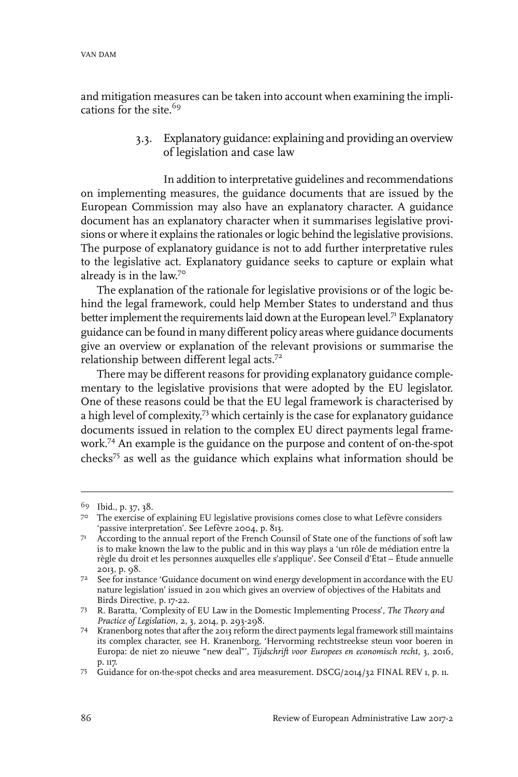and mitigation measures can be taken into account when examining the implications for the site.<sup>69</sup>

> 3.3. Explanatory guidance: explaining and providing an overview of legislation and case law

In addition to interpretative guidelines and recommendations on implementing measures, the guidance documents that are issued by the European Commission may also have an explanatory character. A guidance document has an explanatory character when it summarises legislative provisions or where it explains the rationales or logic behind the legislative provisions. The purpose of explanatory guidance is not to add further interpretative rules to the legislative act. Explanatory guidance seeks to capture or explain what already is in the law.<sup>70</sup>

The explanation of the rationale for legislative provisions or of the logic behind the legal framework, could help Member States to understand and thus better implement the requirements laid down at the European level.<sup>71</sup> Explanatory guidance can be found in many different policy areas where guidance documents give an overview or explanation of the relevant provisions or summarise the relationship between different legal acts.<sup>72</sup>

There may be different reasons for providing explanatory guidance complementary to the legislative provisions that were adopted by the EU legislator. One of these reasons could be that the EU legal framework is characterised by a high level of complexity,<sup>73</sup> which certainly is the case for explanatory guidance documents issued in relation to the complex EU direct payments legal framework.<sup>74</sup> An example is the guidance on the purpose and content of on-the-spot checks<sup>75</sup> as well as the guidance which explains what information should be

<sup>&</sup>lt;sup>69</sup> Ibid., p. 37, 38.

The exercise of explaining EU legislative provisions comes close to what Lefèvre considers 70 'passive interpretation'. See Lefèvre 2004, p. 813.

<sup>71</sup> According to the annual report of the French Counsil of State one of the functions of soft law is to make known the law to the public and in this way plays a 'un rôle de médiation entre la règle du droit et les personnes auxquelles elle s'applique'. See Conseil d'État – Étude annuelle 2013, p. 98.

<sup>7&</sup>lt;sup>2</sup> See for instance 'Guidance document on wind energy development in accordance with the EU nature legislation' issued in 2011 which gives an overview of objectives of the Habitats and Birds Directive, p. 17-22.

R. Baratta, 'Complexity of EU Law in the Domestic Implementing Process', *The Theory and* 73 *Practice of Legislation*, 2, 3, 2014, p. 293-298.

<sup>74</sup> Kranenborg notes that after the 2013 reform the direct payments legal framework still maintains its complex character, see H. Kranenborg, 'Hervorming rechtstreekse steun voor boeren in Europa: de niet zo nieuwe "new deal"', *Tijdschrift voor Europees en economisch recht*, 3, 2016, p. 117.

<sup>&</sup>lt;sup>75</sup> Guidance for on-the-spot checks and area measurement. DSCG/2014/32 FINAL REV 1, p. 11.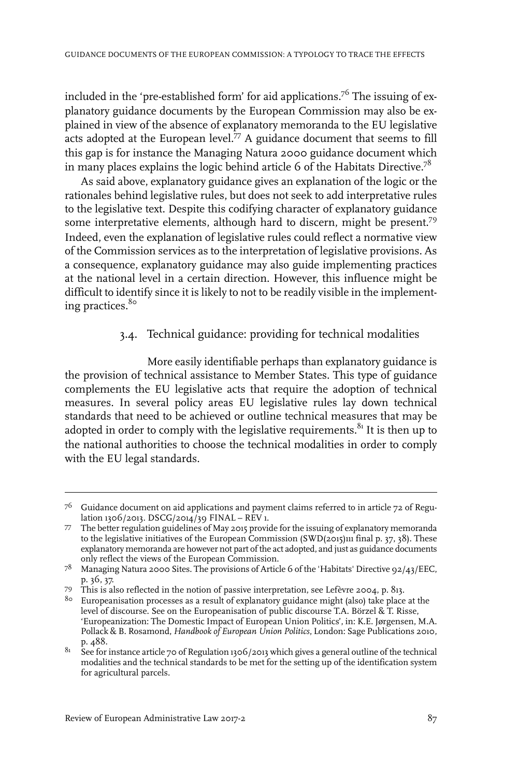included in the 'pre-established form' for aid applications.<sup>76</sup> The issuing of explanatory guidance documents by the European Commission may also be explained in view of the absence of explanatory memoranda to the EU legislative acts adopted at the European level.<sup>77</sup> A guidance document that seems to fill this gap is for instance the Managing Natura 2000 guidance document which in many places explains the logic behind article 6 of the Habitats Directive.<sup>78</sup>

As said above, explanatory guidance gives an explanation of the logic or the rationales behind legislative rules, but does not seek to add interpretative rules to the legislative text. Despite this codifying character of explanatory guidance some interpretative elements, although hard to discern, might be present.<sup>79</sup> Indeed, even the explanation of legislative rules could reflect a normative view of the Commission services as to the interpretation of legislative provisions. As a consequence, explanatory guidance may also guide implementing practices at the national level in a certain direction. However, this influence might be difficult to identify since it is likely to not to be readily visible in the implementing practices.<sup>80</sup>

#### 3.4. Technical guidance: providing for technical modalities

More easily identifiable perhaps than explanatory guidance is the provision of technical assistance to Member States. This type of guidance complements the EU legislative acts that require the adoption of technical measures. In several policy areas EU legislative rules lay down technical standards that need to be achieved or outline technical measures that may be adopted in order to comply with the legislative requirements. $81$  It is then up to the national authorities to choose the technical modalities in order to comply with the EU legal standards.

 $^{76}$   $\,$  Guidance document on aid applications and payment claims referred to in article 72 of Regulation 1306/2013. DSCG/2014/39 FINAL – REV 1.

The better regulation guidelines of May 2015 provide for the issuing of explanatory memoranda to the legislative initiatives of the European Commission (SWD(2015)111 final p. 37, 38). These 77 explanatory memoranda are however not part of the act adopted, and just as guidance documents only reflect the views of the European Commission.

 $^{78}$  Managing Natura 2000 Sites. The provisions of Article 6 of the 'Habitats' Directive 92/43/EEC, p. 36, 37.

This is also reflected in the notion of passive interpretation, see Lefèvre 2004, p. 813. <sup>79</sup>

 $8\circ$  Europeanisation processes as a result of explanatory guidance might (also) take place at the level of discourse. See on the Europeanisation of public discourse T.A. Börzel & T. Risse, 'Europeanization: The Domestic Impact of European Union Politics', in: K.E. Jørgensen, M.A. Pollack & B. Rosamond, *Handbook of European Union Politics*, London: Sage Publications 2010, p. 488.

 $81$  See for instance article 70 of Regulation 1306/2013 which gives a general outline of the technical modalities and the technical standards to be met for the setting up of the identification system for agricultural parcels.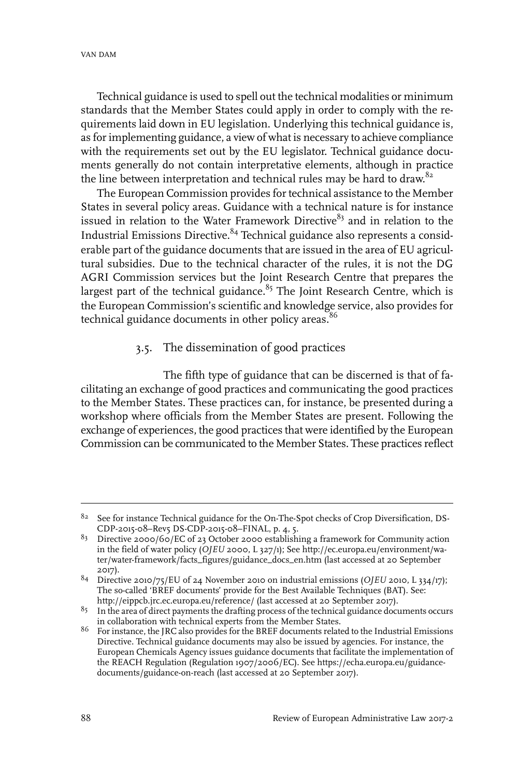Technical guidance is used to spell out the technical modalities or minimum standards that the Member States could apply in order to comply with the requirements laid down in EU legislation. Underlying this technical guidance is, as forimplementing guidance, a view of what is necessary to achieve compliance with the requirements set out by the EU legislator. Technical guidance documents generally do not contain interpretative elements, although in practice the line between interpretation and technical rules may be hard to draw.<sup>82</sup>

The European Commission provides for technical assistance to the Member States in several policy areas. Guidance with a technical nature is for instance issued in relation to the Water Framework Directive $83$  and in relation to the Industrial Emissions Directive.<sup>84</sup> Technical guidance also represents a considerable part of the guidance documents that are issued in the area of EU agricultural subsidies. Due to the technical character of the rules, it is not the DG AGRI Commission services but the Joint Research Centre that prepares the largest part of the technical guidance. $85$  The Joint Research Centre, which is the European Commission's scientific and knowledge service, also provides for technical guidance documents in other policy areas.<sup>86</sup>

#### 3.5. The dissemination of good practices

The fifth type of guidance that can be discerned is that of facilitating an exchange of good practices and communicating the good practices to the Member States. These practices can, for instance, be presented during a workshop where officials from the Member States are present. Following the exchange of experiences, the good practices that were identified by the European Commission can be communicated to the Member States. These practices reflect

<sup>&</sup>lt;sup>82</sup> See for instance Technical guidance for the On-The-Spot checks of Crop Diversification, DS-CDP-2015-08–Rev5 DS-CDP-2015-08–FINAL, p. 4, 5.

 $83$  Directive 2000/60/EC of 23 October 2000 establishing a framework for Community action in the field of water policy (*OJEU* 2000, L 327/1); See http://ec.europa.eu/environment/water/water-framework/facts\_figures/guidance\_docs\_en.htm (last accessed at 20 September 2017).

Directive 2010/75/EU of 24 November 2010 on industrial emissions (*OJEU* 2010, L 334/17); 84 The so-called 'BREF documents' provide for the Best Available Techniques (BAT). See: http://eippcb.jrc.ec.europa.eu/reference/ (last accessed at 20 September 2017).

<sup>&</sup>lt;sup>85</sup> In the area of direct payments the drafting process of the technical guidance documents occurs in collaboration with technical experts from the Member States.

 $86$  For instance, the JRC also provides for the BREF documents related to the Industrial Emissions Directive. Technical guidance documents may also be issued by agencies. For instance, the European Chemicals Agency issues guidance documents that facilitate the implementation of the REACH Regulation (Regulation 1907/2006/EC). See https://echa.europa.eu/guidancedocuments/guidance-on-reach (last accessed at 20 September 2017).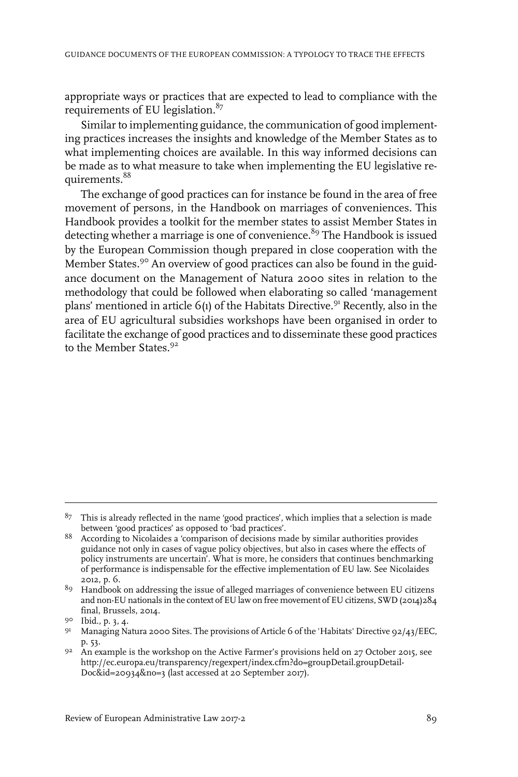appropriate ways or practices that are expected to lead to compliance with the requirements of EU legislation. $87$ 

Similar to implementing guidance, the communication of good implementing practices increases the insights and knowledge of the Member States as to what implementing choices are available. In this way informed decisions can be made as to what measure to take when implementing the EU legislative requirements.<sup>88</sup>

The exchange of good practices can for instance be found in the area of free movement of persons, in the Handbook on marriages of conveniences. This Handbook provides a toolkit for the member states to assist Member States in detecting whether a marriage is one of convenience.<sup>89</sup> The Handbook is issued by the European Commission though prepared in close cooperation with the Member States.<sup>90</sup> An overview of good practices can also be found in the guidance document on the Management of Natura 2000 sites in relation to the methodology that could be followed when elaborating so called 'management plans' mentioned in article  $6(1)$  of the Habitats Directive.<sup>91</sup> Recently, also in the area of EU agricultural subsidies workshops have been organised in order to facilitate the exchange of good practices and to disseminate these good practices to the Member States.<sup>92</sup>

 $87$  This is already reflected in the name 'good practices', which implies that a selection is made between 'good practices' as opposed to 'bad practices'.

<sup>&</sup>lt;sup>88</sup> According to Nicolaides a 'comparison of decisions made by similar authorities provides guidance not only in cases of vague policy objectives, but also in cases where the effects of policy instruments are uncertain'. What is more, he considers that continues benchmarking of performance is indispensable for the effective implementation of EU law. See Nicolaides 2012, p. 6.

Handbook on addressing the issue of alleged marriages of convenience between EU citizens 89 and non-EU nationals in the context of EU law on free movement of EU citizens, SWD (2014)284 final, Brussels, 2014.

<sup>90</sup> Ibid., p. 3, 4.

<sup>&</sup>lt;sup>91</sup> Managing Natura 2000 Sites. The provisions of Article 6 of the 'Habitats' Directive 92/43/EEC, p. 53.

An example is the workshop on the Active Farmer's provisions held on 27 October 2015, see http://ec.europa.eu/transparency/regexpert/index.cfm?do=groupDetail.groupDetail-Doc&id=20934&no=3 (last accessed at 20 September 2017). 92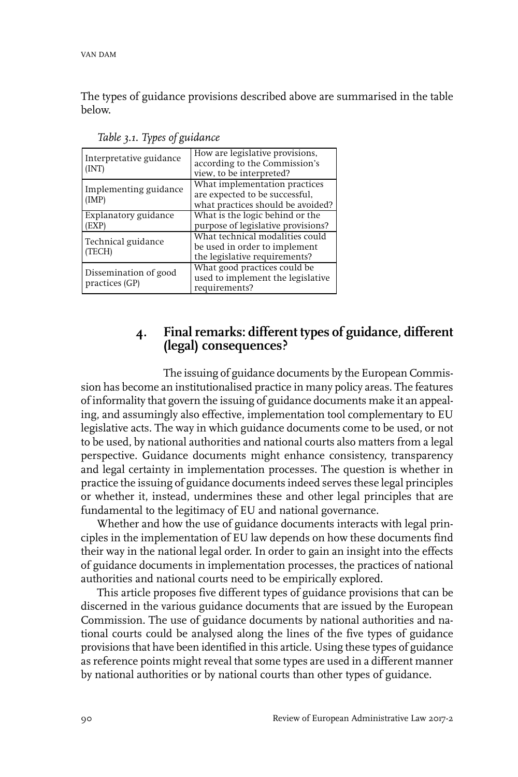The types of guidance provisions described above are summarised in the table below.

| Interpretative guidance<br>(INT)        | How are legislative provisions,<br>according to the Commission's<br>view, to be interpreted?         |
|-----------------------------------------|------------------------------------------------------------------------------------------------------|
| Implementing guidance<br>(IMP)          | What implementation practices<br>are expected to be successful,<br>what practices should be avoided? |
| Explanatory guidance<br>EXP)            | What is the logic behind or the<br>purpose of legislative provisions?                                |
| Technical guidance<br>(TECH)            | What technical modalities could<br>be used in order to implement<br>the legislative requirements?    |
| Dissemination of good<br>practices (GP) | What good practices could be<br>used to implement the legislative<br>requirements?                   |

*Table 3.1. Types of guidance*

# **4. Final remarks: different types of guidance, different (legal) consequences?**

The issuing of guidance documents by the European Commission has become an institutionalised practice in many policy areas. The features of informality that govern the issuing of guidance documents make it an appealing, and assumingly also effective, implementation tool complementary to EU legislative acts. The way in which guidance documents come to be used, or not to be used, by national authorities and national courts also matters from a legal perspective. Guidance documents might enhance consistency, transparency and legal certainty in implementation processes. The question is whether in practice the issuing of guidance documents indeed serves these legal principles or whether it, instead, undermines these and other legal principles that are fundamental to the legitimacy of EU and national governance.

Whether and how the use of guidance documents interacts with legal principles in the implementation of EU law depends on how these documents find their way in the national legal order. In order to gain an insight into the effects of guidance documents in implementation processes, the practices of national authorities and national courts need to be empirically explored.

This article proposes five different types of guidance provisions that can be discerned in the various guidance documents that are issued by the European Commission. The use of guidance documents by national authorities and national courts could be analysed along the lines of the five types of guidance provisions that have been identified in this article. Using these types of guidance as reference points might reveal that some types are used in a different manner by national authorities or by national courts than other types of guidance.